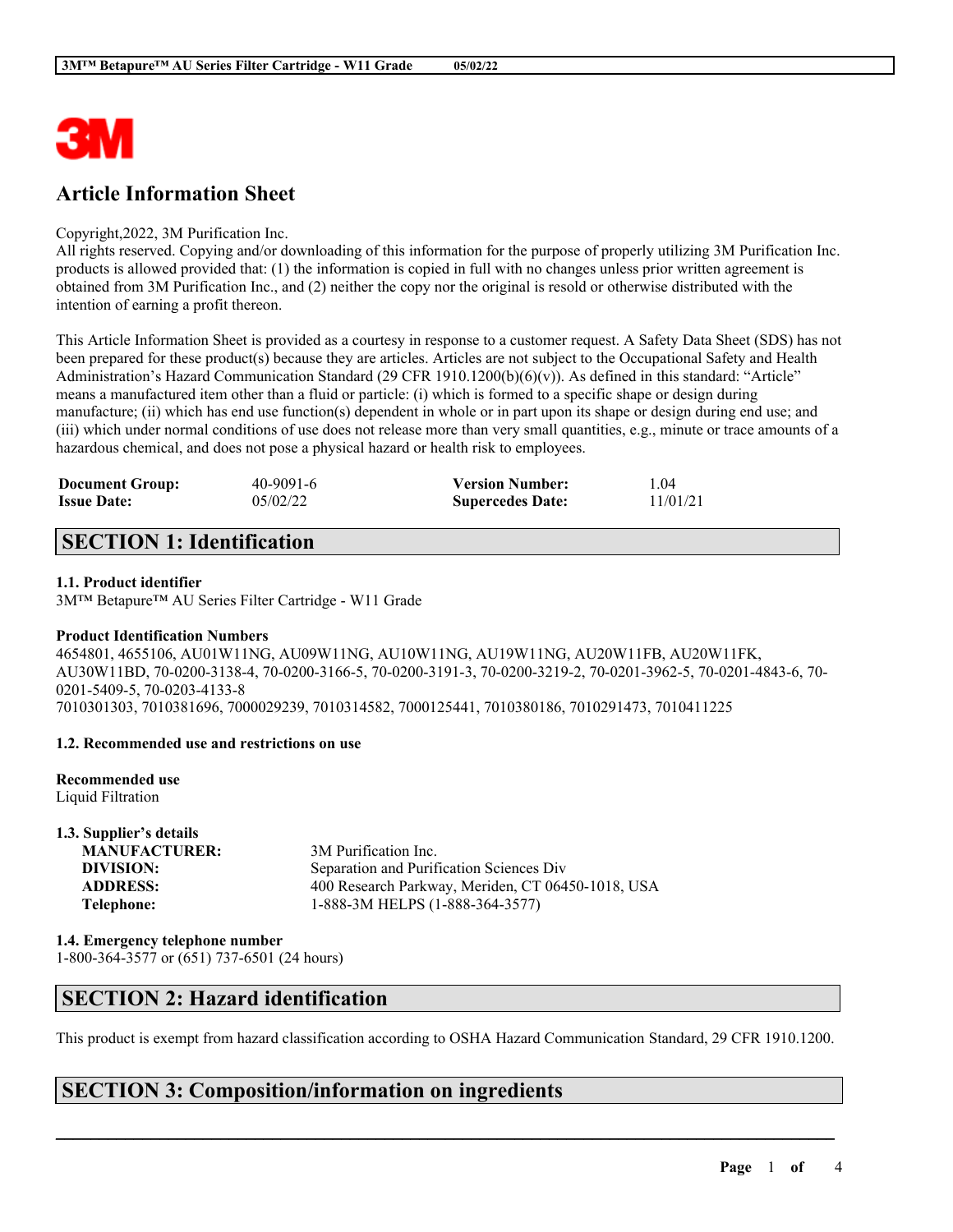

# **Article Information Sheet**

#### Copyright,2022, 3M Purification Inc.

All rights reserved. Copying and/or downloading of this information for the purpose of properly utilizing 3M Purification Inc. products is allowed provided that: (1) the information is copied in full with no changes unless prior written agreement is obtained from 3M Purification Inc., and (2) neither the copy nor the original is resold or otherwise distributed with the intention of earning a profit thereon.

This Article Information Sheet is provided as a courtesy in response to a customer request. A Safety Data Sheet (SDS) has not been prepared for these product(s) because they are articles. Articles are not subject to the Occupational Safety and Health Administration's Hazard Communication Standard (29 CFR 1910.1200(b)(6)(v)). As defined in this standard: "Article" means a manufactured item other than a fluid or particle: (i) which is formed to a specific shape or design during manufacture; (ii) which has end use function(s) dependent in whole or in part upon its shape or design during end use; and (iii) which under normal conditions of use does not release more than very small quantities, e.g., minute or trace amounts of a hazardous chemical, and does not pose a physical hazard or health risk to employees.

| <b>Document Group:</b> | 40-9091-6 | <b>Version Number:</b>  | 1.04     |
|------------------------|-----------|-------------------------|----------|
| <b>Issue Date:</b>     | 05/02/22  | <b>Supercedes Date:</b> | 11/01/21 |

# **SECTION 1: Identification**

#### **1.1. Product identifier**

3M™ Betapure™ AU Series Filter Cartridge - W11 Grade

#### **Product Identification Numbers**

4654801, 4655106, AU01W11NG, AU09W11NG, AU10W11NG, AU19W11NG, AU20W11FB, AU20W11FK, AU30W11BD, 70-0200-3138-4, 70-0200-3166-5, 70-0200-3191-3, 70-0200-3219-2, 70-0201-3962-5, 70-0201-4843-6, 70- 0201-5409-5, 70-0203-4133-8 7010301303, 7010381696, 7000029239, 7010314582, 7000125441, 7010380186, 7010291473, 7010411225

#### **1.2. Recommended use and restrictions on use**

#### **Recommended use**

Liquid Filtration

**1.3. Supplier's details MANUFACTURER:** 3M Purification Inc. **DIVISION:** Separation and Purification Sciences Div **ADDRESS:** 400 Research Parkway, Meriden, CT 06450-1018, USA **Telephone:** 1-888-3M HELPS (1-888-364-3577)

**1.4. Emergency telephone number**

1-800-364-3577 or (651) 737-6501 (24 hours)

# **SECTION 2: Hazard identification**

This product is exempt from hazard classification according to OSHA Hazard Communication Standard, 29 CFR 1910.1200.

 $\mathcal{L}_\mathcal{L} = \mathcal{L}_\mathcal{L} = \mathcal{L}_\mathcal{L} = \mathcal{L}_\mathcal{L} = \mathcal{L}_\mathcal{L} = \mathcal{L}_\mathcal{L} = \mathcal{L}_\mathcal{L} = \mathcal{L}_\mathcal{L} = \mathcal{L}_\mathcal{L} = \mathcal{L}_\mathcal{L} = \mathcal{L}_\mathcal{L} = \mathcal{L}_\mathcal{L} = \mathcal{L}_\mathcal{L} = \mathcal{L}_\mathcal{L} = \mathcal{L}_\mathcal{L} = \mathcal{L}_\mathcal{L} = \mathcal{L}_\mathcal{L}$ 

### **SECTION 3: Composition/information on ingredients**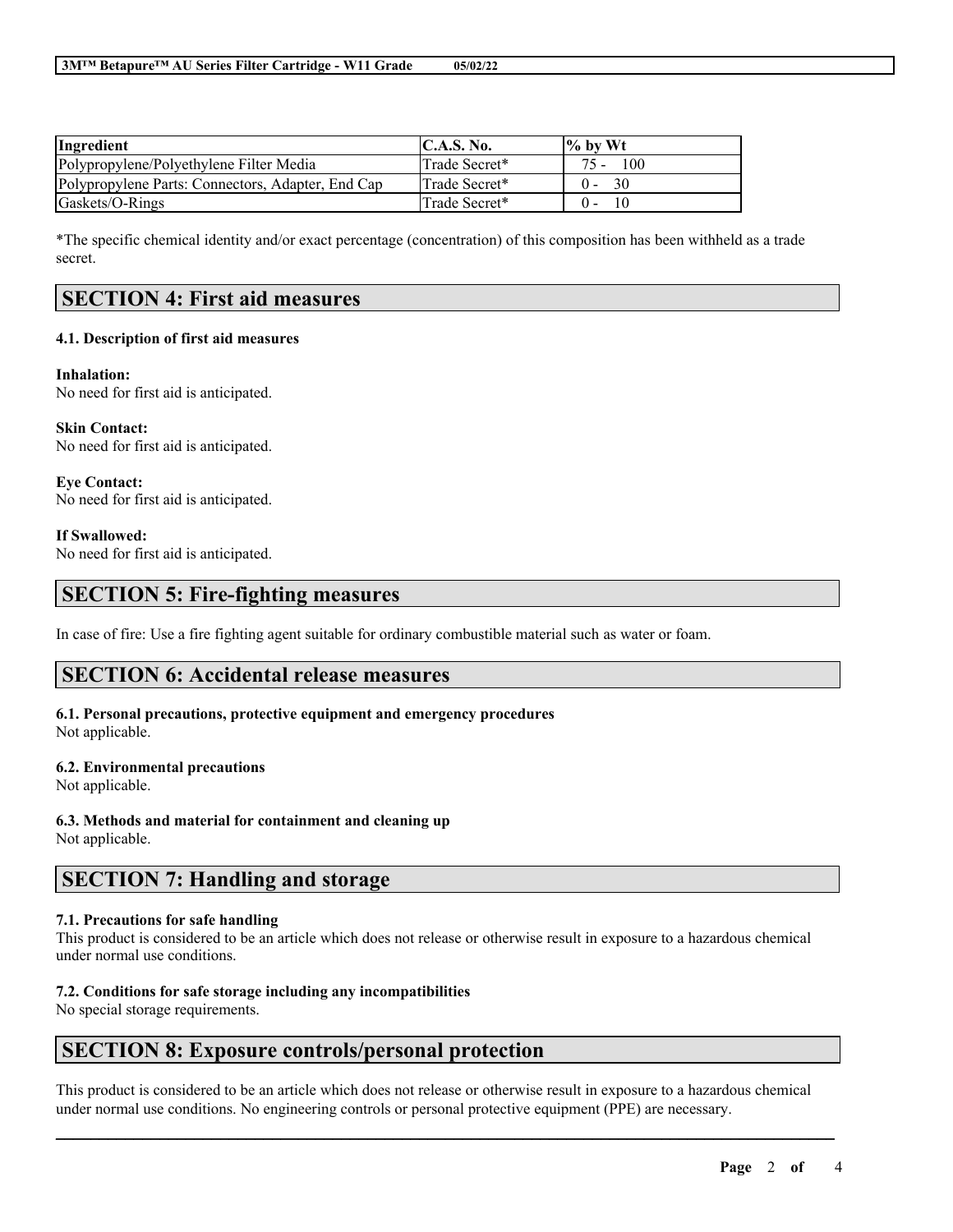| Ingredient                                        | C.A.S. No.    | $\frac{1}{6}$ by Wt |
|---------------------------------------------------|---------------|---------------------|
| Polypropylene/Polyethylene Filter Media           | Trade Secret* | $75 - 100$          |
| Polypropylene Parts: Connectors, Adapter, End Cap | Trade Secret* | - 30<br>$0 -$       |
| Gaskets/O-Rings                                   | Trade Secret* | 10                  |

\*The specific chemical identity and/or exact percentage (concentration) of this composition has been withheld as a trade secret.

# **SECTION 4: First aid measures**

#### **4.1. Description of first aid measures**

#### **Inhalation:**

No need for first aid is anticipated.

**Skin Contact:** No need for first aid is anticipated.

**Eye Contact:** No need for first aid is anticipated.

**If Swallowed:**

No need for first aid is anticipated.

### **SECTION 5: Fire-fighting measures**

In case of fire: Use a fire fighting agent suitable for ordinary combustible material such as water or foam.

### **SECTION 6: Accidental release measures**

# **6.1. Personal precautions, protective equipment and emergency procedures**

Not applicable.

#### **6.2. Environmental precautions**

Not applicable.

**6.3. Methods and material for containment and cleaning up**

Not applicable.

### **SECTION 7: Handling and storage**

#### **7.1. Precautions for safe handling**

This product is considered to be an article which does not release or otherwise result in exposure to a hazardous chemical under normal use conditions.

#### **7.2. Conditions for safe storage including any incompatibilities**

No special storage requirements.

### **SECTION 8: Exposure controls/personal protection**

This product is considered to be an article which does not release or otherwise result in exposure to a hazardous chemical under normal use conditions. No engineering controls or personal protective equipment (PPE) are necessary.

 $\mathcal{L}_\mathcal{L} = \mathcal{L}_\mathcal{L} = \mathcal{L}_\mathcal{L} = \mathcal{L}_\mathcal{L} = \mathcal{L}_\mathcal{L} = \mathcal{L}_\mathcal{L} = \mathcal{L}_\mathcal{L} = \mathcal{L}_\mathcal{L} = \mathcal{L}_\mathcal{L} = \mathcal{L}_\mathcal{L} = \mathcal{L}_\mathcal{L} = \mathcal{L}_\mathcal{L} = \mathcal{L}_\mathcal{L} = \mathcal{L}_\mathcal{L} = \mathcal{L}_\mathcal{L} = \mathcal{L}_\mathcal{L} = \mathcal{L}_\mathcal{L}$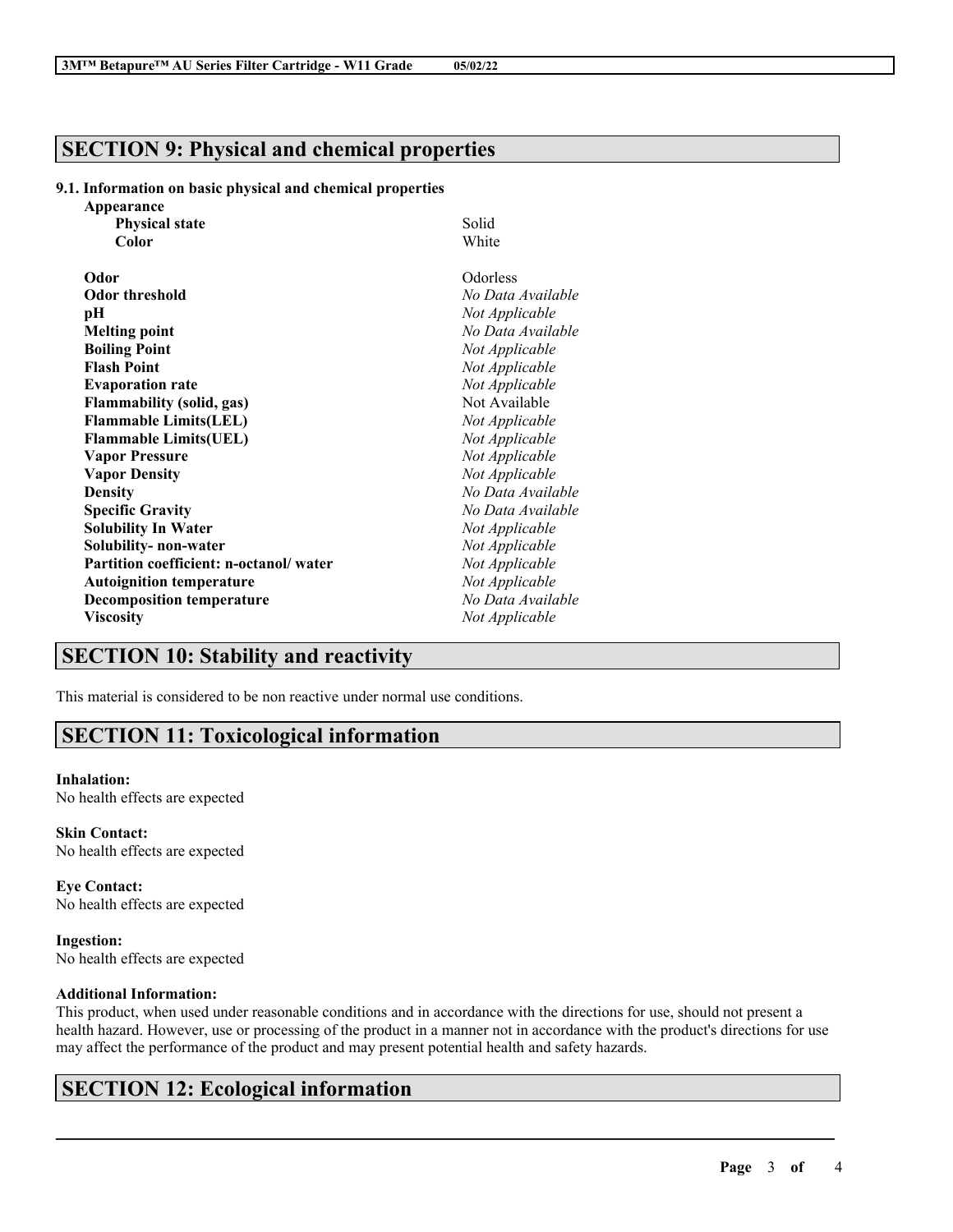# **SECTION 9: Physical and chemical properties**

#### **9.1. Information on basic physical and chemical properties**

| Appearance                             |                   |
|----------------------------------------|-------------------|
| <b>Physical state</b>                  | Solid             |
| Color                                  | White             |
| Odor                                   | Odorless          |
| <b>Odor threshold</b>                  | No Data Available |
| pН                                     | Not Applicable    |
| <b>Melting point</b>                   | No Data Available |
| <b>Boiling Point</b>                   | Not Applicable    |
| <b>Flash Point</b>                     | Not Applicable    |
| <b>Evaporation rate</b>                | Not Applicable    |
| <b>Flammability (solid, gas)</b>       | Not Available     |
| <b>Flammable Limits(LEL)</b>           | Not Applicable    |
| <b>Flammable Limits(UEL)</b>           | Not Applicable    |
| <b>Vapor Pressure</b>                  | Not Applicable    |
| <b>Vapor Density</b>                   | Not Applicable    |
| <b>Density</b>                         | No Data Available |
| <b>Specific Gravity</b>                | No Data Available |
| <b>Solubility In Water</b>             | Not Applicable    |
| Solubility- non-water                  | Not Applicable    |
| Partition coefficient: n-octanol/water | Not Applicable    |
| <b>Autoignition temperature</b>        | Not Applicable    |
| <b>Decomposition temperature</b>       | No Data Available |
| <b>Viscosity</b>                       | Not Applicable    |

## **SECTION 10: Stability and reactivity**

This material is considered to be non reactive under normal use conditions.

# **SECTION 11: Toxicological information**

#### **Inhalation:**

No health effects are expected

**Skin Contact:** No health effects are expected

**Eye Contact:** No health effects are expected

**Ingestion:** No health effects are expected

#### **Additional Information:**

This product, when used under reasonable conditions and in accordance with the directions for use, should not present a health hazard. However, use or processing of the product in a manner not in accordance with the product's directions for use may affect the performance of the product and may present potential health and safety hazards.

 $\mathcal{L}_\mathcal{L} = \mathcal{L}_\mathcal{L} = \mathcal{L}_\mathcal{L} = \mathcal{L}_\mathcal{L} = \mathcal{L}_\mathcal{L} = \mathcal{L}_\mathcal{L} = \mathcal{L}_\mathcal{L} = \mathcal{L}_\mathcal{L} = \mathcal{L}_\mathcal{L} = \mathcal{L}_\mathcal{L} = \mathcal{L}_\mathcal{L} = \mathcal{L}_\mathcal{L} = \mathcal{L}_\mathcal{L} = \mathcal{L}_\mathcal{L} = \mathcal{L}_\mathcal{L} = \mathcal{L}_\mathcal{L} = \mathcal{L}_\mathcal{L}$ 

# **SECTION 12: Ecological information**